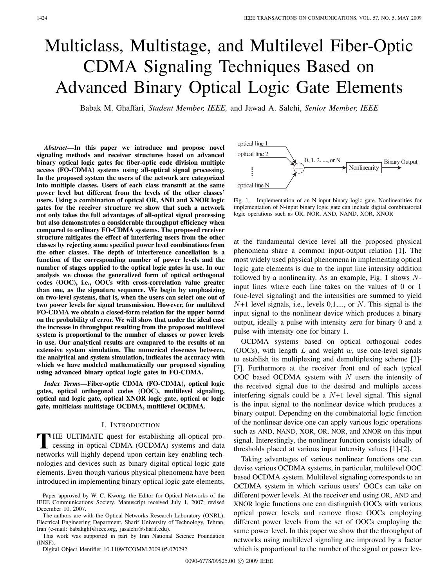# Multiclass, Multistage, and Multilevel Fiber-Optic CDMA Signaling Techniques Based on Advanced Binary Optical Logic Gate Elements

Babak M. Ghaffari, *Student Member, IEEE,* and Jawad A. Salehi, *Senior Member, IEEE*

*Abstract***—In this paper we introduce and propose novel signaling methods and receiver structures based on advanced binary optical logic gates for fiber-optic code division multiple access (FO-CDMA) systems using all-optical signal processing. In the proposed system the users of the network are categorized into multiple classes. Users of each class transmit at the same power level but different from the levels of the other classes' users. Using a combination of optical OR, AND and XNOR logic gates for the receiver structure we show that such a network not only takes the full advantages of all-optical signal processing but also demonstrates a considerable throughput efficiency when compared to ordinary FO-CDMA systems. The proposed receiver structure mitigates the effect of interfering users from the other classes by rejecting some specified power level combinations from the other classes. The depth of interference cancellation is a function of the corresponding number of power levels and the number of stages applied to the optical logic gates in use. In our analysis we choose the generalized form of optical orthogonal codes (OOC), i.e., OOCs with cross-correlation value greater than one, as the signature sequence. We begin by emphasizing on two-level systems, that is, when the users can select one out of two power levels for signal transmission. However, for multilevel FO-CDMA we obtain a closed-form relation for the upper bound on the probability of error. We will show that under the ideal case the increase in throughput resulting from the proposed multilevel system is proportional to the number of classes or power levels in use. Our analytical results are compared to the results of an extensive system simulation. The numerical closeness between, the analytical and system simulation, indicates the accuracy with which we have modeled mathematically our proposed signaling using advanced binary optical logic gates in FO-CDMA.**

*Index Terms***—Fiber-optic CDMA (FO-CDMA), optical logic gates, optical orthogonal codes (OOC), multilevel signaling, optical and logic gate, optical XNOR logic gate, optical or logic gate, multiclass multistage OCDMA, multilevel OCDMA.**

## I. INTRODUCTION

**T** HE ULTIMATE quest for establishing all-optical processing in optical CDMA (OCDMA) systems and data networks will highly depend upon certain key enabling technologies and devices such as binary digital optical logic gate elements. Even though various physical phenomena have been introduced in implementing binary optical logic gate elements,

The authors are with the Optical Networks Research Laboratory (ONRL), Electrical Engineering Department, Sharif University of Technology, Tehran, Iran (e-mail: babakghf@ieee.org, jasalehi@sharif.edu).

This work was supported in part by Iran National Science Foundation (INSF).

Digital Object Identifier 10.1109/TCOMM.2009.05.070292



Fig. 1. Implementation of an N-input binary logic gate. Nonlinearities for implementation of N-input binary logic gate can include digital combinatorial logic operations such as OR, NOR, AND, NAND, XOR, XNOR

at the fundamental device level all the proposed physical phenomena share a common input-output relation [1]. The most widely used physical phenomena in implementing optical logic gate elements is due to the input line intensity addition followed by a nonlinearity. As an example, Fig. 1 shows  $N$ input lines where each line takes on the values of 0 or 1 (one-level signaling) and the intensities are summed to yield  $N+1$  level signals, i.e., levels  $0,1,...$ , or N. This signal is the input signal to the nonlinear device which produces a binary output, ideally a pulse with intensity zero for binary 0 and a pulse with intensity one for binary 1.

OCDMA systems based on optical orthogonal codes (OOCs), with length  $L$  and weight  $w$ , use one-level signals to establish its multiplexing and demultiplexing scheme [3]- [7]. Furthermore at the receiver front end of each typical OOC based OCDMA system with  $N$  users the intensity of the received signal due to the desired and multiple access interfering signals could be a  $N+1$  level signal. This signal is the input signal to the nonlinear device which produces a binary output. Depending on the combinatorial logic function of the nonlinear device one can apply various logic operations such as AND, NAND, XOR, OR, NOR, and XNOR on this input signal. Interestingly, the nonlinear function consists ideally of thresholds placed at various input intensity values [1]-[2].

Taking advantages of various nonlinear functions one can devise various OCDMA systems, in particular, multilevel OOC based OCDMA system. Multilevel signaling corresponds to an OCDMA system in which various users' OOCs can take on different power levels. At the receiver end using OR, AND and XNOR logic functions one can distinguish OOCs with various optical power levels and remove those OOCs employing different power levels from the set of OOCs employing the same power level. In this paper we show that the throughput of networks using multilevel signaling are improved by a factor which is proportional to the number of the signal or power lev-

Paper approved by W. C. Kwong, the Editor for Optical Networks of the IEEE Communications Society. Manuscript received July 1, 2007; revised December 10, 2007.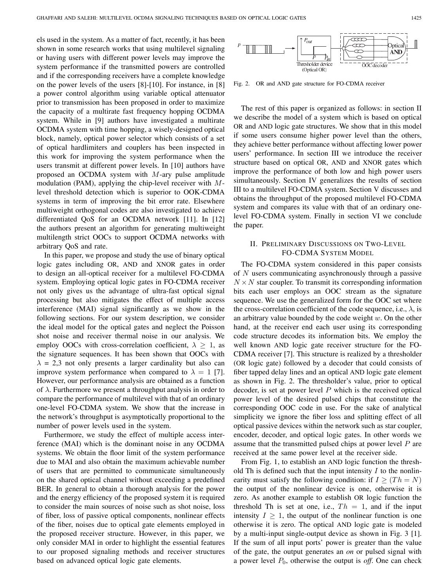els used in the system. As a matter of fact, recently, it has been shown in some research works that using multilevel signaling or having users with different power levels may improve the system performance if the transmitted powers are controlled and if the corresponding receivers have a complete knowledge on the power levels of the users [8]-[10]. For instance, in [8] a power control algorithm using variable optical attenuator prior to transmission has been proposed in order to maximize the capacity of a multirate fast frequency hopping OCDMA system. While in [9] authors have investigated a multirate OCDMA system with time hopping, a wisely-designed optical block, namely, optical power selector which consists of a set of optical hardlimiters and couplers has been inspected in this work for improving the system performance when the users transmit at different power levels. In [10] authors have proposed an OCDMA system with M-ary pulse amplitude modulation (PAM), applying the chip-level receiver with Mlevel threshold detection which is superior to OOK-CDMA systems in term of improving the bit error rate. Elsewhere multiweight orthogonal codes are also investigated to achieve differentiated QoS for an OCDMA network [11]. In [12] the authors present an algorithm for generating multiweight multilength strict OOCs to support OCDMA networks with arbitrary QoS and rate.

In this paper, we propose and study the use of binary optical logic gates including OR, AND and XNOR gates in order to design an all-optical receiver for a multilevel FO-CDMA system. Employing optical logic gates in FO-CDMA receiver not only gives us the advantage of ultra-fast optical signal processing but also mitigates the effect of multiple access interference (MAI) signal significantly as we show in the following sections. For our system description, we consider the ideal model for the optical gates and neglect the Poisson shot noise and receiver thermal noise in our analysis. We employ OOCs with cross-correlation coefficient,  $\lambda \geq 1$ , as the signature sequences. It has been shown that OOCs with  $\lambda$  = 2,3 not only presents a larger cardinality but also can improve system performance when compared to  $\lambda = 1$  [7]. However, our performance analysis are obtained as a function of  $\lambda$ . Furthermore we present a throughput analysis in order to compare the performance of multilevel with that of an ordinary one-level FO-CDMA system. We show that the increase in the network's throughput is asymptotically proportional to the number of power levels used in the system.

Furthermore, we study the effect of multiple access interference (MAI) which is the dominant noise in any OCDMA systems. We obtain the floor limit of the system performance due to MAI and also obtain the maximum achievable number of users that are permitted to communicate simultaneously on the shared optical channel without exceeding a predefined BER. In general to obtain a thorough analysis for the power and the energy efficiency of the proposed system it is required to consider the main sources of noise such as shot noise, loss of fiber, loss of passive optical components, nonlinear effects of the fiber, noises due to optical gate elements employed in the proposed receiver structure. However, in this paper, we only consider MAI in order to highlight the essential features to our proposed signaling methods and receiver structures based on advanced optical logic gate elements.



Fig. 2. OR and AND gate structure for FO-CDMA receiver

The rest of this paper is organized as follows: in section II we describe the model of a system which is based on optical OR and AND logic gate structures. We show that in this model if some users consume higher power level than the others, they achieve better performance without affecting lower power users' performance. In section III we introduce the receiver structure based on optical OR, AND and XNOR gates which improve the performance of both low and high power users simultaneously. Section IV generalizes the results of section III to a multilevel FO-CDMA system. Section V discusses and obtains the throughput of the proposed multilevel FO-CDMA system and compares its value with that of an ordinary onelevel FO-CDMA system. Finally in section VI we conclude the paper.

# II. PRELIMINARY DISCUSSIONS ON TWO-LEVEL FO-CDMA SYSTEM MODEL

The FO-CDMA system considered in this paper consists of  $N$  users communicating asynchronously through a passive  $N \times N$  star coupler. To transmit its corresponding information bits each user employs an OOC stream as the signature sequence. We use the generalized form for the OOC set where the cross-correlation coefficient of the code sequence, i.e.,  $\lambda$ , is an arbitrary value bounded by the code weight  $w$ . On the other hand, at the receiver end each user using its corresponding code structure decodes its information bits. We employ the well known AND logic gate receiver structure for the FO-CDMA receiver [7]. This structure is realized by a thresholder (OR logic gate) followed by a decoder that could consists of fiber tapped delay lines and an optical AND logic gate element as shown in Fig. 2. The thresholder's value, prior to optical decoder, is set at power level  $P$  which is the received optical power level of the desired pulsed chips that constitute the corresponding OOC code in use. For the sake of analytical simplicity we ignore the fiber loss and splitting effect of all optical passive devices within the network such as star coupler, encoder, decoder, and optical logic gates. In other words we assume that the transmitted pulsed chips at power level P are received at the same power level at the receiver side.

From Fig. 1, to establish an AND logic function the threshold Th is defined such that the input intensity  $I$  to the nonlinearity must satisfy the following condition: if  $I > (Th = N)$ the output of the nonlinear device is one, otherwise it is zero. As another example to establish OR logic function the threshold Th is set at one, i.e.,  $Th = 1$ , and if the input intensity  $I \geq 1$ , the output of the nonlinear function is one otherwise it is zero. The optical AND logic gate is modeled by a multi-input single-output device as shown in Fig. 3 [1]. If the sum of all input ports' power is greater than the value of the gate, the output generates an *on* or pulsed signal with a power level  $P_0$ , otherwise the output is *off*. One can check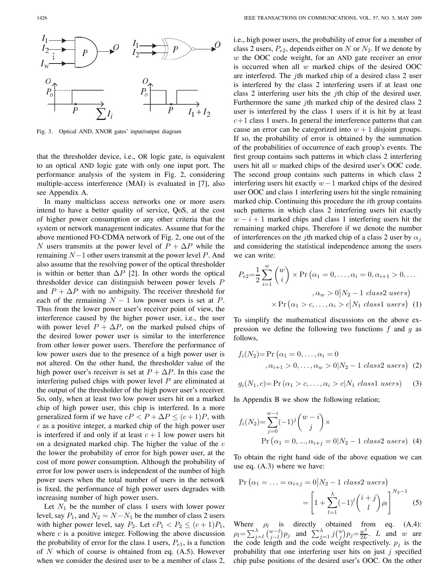

Fig. 3. Optical AND, XNOR gates' input/output diagram

that the thresholder device, i.e., OR logic gate, is equivalent to an optical AND logic gate with only one input port. The performance analysis of the system in Fig. 2, considering multiple-access interference (MAI) is evaluated in [7], also see Appendix A.

In many multiclass access networks one or more users intend to have a better quality of service, QoS, at the cost of higher power consumption or any other criteria that the system or network management indicates. Assume that for the above mentioned FO-CDMA network of Fig. 2, one out of the N users transmits at the power level of  $P + \Delta P$  while the remaining  $N-1$  other users transmit at the power level P. And also assume that the resolving power of the optical thresholder is within or better than  $\Delta P$  [2]. In other words the optical thresholder device can distinguish between power levels P and  $P + \Delta P$  with no ambiguity. The receiver threshold for each of the remaining  $N - 1$  low power users is set at P. Thus from the lower power user's receiver point of view, the interference caused by the higher power user, i.e., the user with power level  $P + \Delta P$ , on the marked pulsed chips of the desired lower power user is similar to the interference from other lower power users. Therefore the performance of low power users due to the presence of a high power user is not altered. On the other hand, the thresholder value of the high power user's receiver is set at  $P + \Delta P$ . In this case the interfering pulsed chips with power level  $P$  are eliminated at the output of the thresholder of the high power user's receiver. So, only, when at least two low power users hit on a marked chip of high power user, this chip is interfered. In a more generalized form if we have  $cP < P + \Delta P \le (c+1)P$ , with  $c$  as a positive integer, a marked chip of the high power user is interfered if and only if at least  $c + 1$  low power users hit on a designated marked chip. The higher the value of the c the lower the probability of error for high power user, at the cost of more power consumption. Although the probability of error for low power users is independent of the number of high power users when the total number of users in the network is fixed, the performance of high power users degrades with increasing number of high power users.

Let  $N_1$  be the number of class 1 users with lower power level, say  $P_1$ , and  $N_2 = N - N_1$  be the number of class 2 users with higher power level, say  $P_2$ . Let  $cP_1 < P_2 \le (c+1)P_1$ , where  $c$  is a positive integer. Following the above discussion the probability of error for the class 1 users,  $P_{e1}$ , is a function of  $N$  which of course is obtained from eq.  $(A.5)$ . However when we consider the desired user to be a member of class 2,

i.e., high power users, the probability of error for a member of class 2 users,  $P_{e2}$ , depends either on N or  $N_2$ . If we denote by w the OOC code weight, for an AND gate receiver an error is occurred when all  $w$  marked chips of the desired OOC are interfered. The jth marked chip of a desired class 2 user is interfered by the class 2 interfering users if at least one class 2 interfering user hits the jth chip of the desired user. Furthermore the same jth marked chip of the desired class 2 user is interfered by the class 1 users if it is hit by at least  $c+1$  class 1 users. In general the interference patterns that can cause an error can be categorized into  $w + 1$  disjoint groups. If so, the probability of error is obtained by the summation of the probabilities of occurrence of each group's events. The first group contains such patterns in which class 2 interfering users hit all w marked chips of the desired user's OOC code. The second group contains such patterns in which class 2 interfering users hit exactly w−1 marked chips of the desired user OOC and class 1 interfering users hit the single remaining marked chip. Continuing this procedure the ith group contains such patterns in which class 2 interfering users hit exactly  $w - i + 1$  marked chips and class 1 interfering users hit the remaining marked chips. Therefore if we denote the number of interferences on the jth marked chip of a class 2 user by  $\alpha_i$ and considering the statistical independence among the users we can write:

$$
P_{e2} = \frac{1}{2} \sum_{i=1}^{w} {w \choose i} \times \Pr(\alpha_1 = 0, \dots, \alpha_i = 0, \alpha_{i+1} > 0, \dots
$$

$$
\alpha_w > 0 | N_2 - 1 \text{ class 2 users})
$$

$$
\times \Pr(\alpha_1 > c, \dots, \alpha_i > c | N_1 \text{ class 1 users}) \quad (1)
$$

To simplify the mathematical discussions on the above expression we define the following two functions  $f$  and  $g$  as follows,

$$
f_i(N_2) = Pr (\alpha_1 = 0, ..., \alpha_i = 0
$$
  
,  $\alpha_{i+1} > 0, ..., \alpha_w > 0 | N_2 - 1$  class 2 users) (2)

$$
g_i(N_1, c) = \Pr\left(\alpha_1 > c, \dots, \alpha_i > c | N_1 \text{ class 1 users}\right) \tag{3}
$$

In Appendix B we show the following relation;

$$
f_i(N_2) = \sum_{j=0}^{w-i} (-1)^j {w-i \choose j} \times
$$
  
Pr(\alpha\_1 = 0, ..., \alpha\_{i+j} = 0 | N\_2 - 1 class 2 users) (4)

To obtain the right hand side of the above equation we can use eq. (A.3) where we have:

$$
\Pr\left(\alpha_{1} = \ldots = \alpha_{i+j} = 0 | N_{2} - 1 \; class2 \; users\right)
$$
\n
$$
= \left[1 + \sum_{l=1}^{\lambda} (-1)^{l} {i+j \choose l} \rho_{l}\right]^{N_{2}-1} \quad (5)
$$

Where  $\rho_l$  is directly obtained from eq. (A.4):  $\rho_l = \sum_{j=l}^{\lambda} \binom{w-l}{j-l} p_j$  and  $\sum_{j=1}^{\lambda} j \binom{w}{j} p_j = \frac{w^2}{2L}$ . L and w are the code length and the code weight respectively.  $p_j$  is the probability that one interfering user hits on just  $j$  specified chip pulse positions of the desired user's OOC. On the other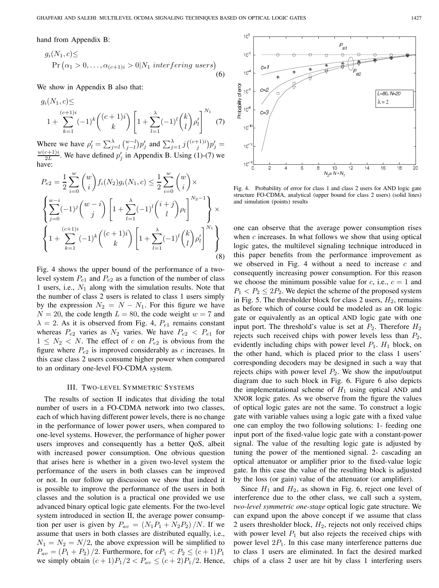hand from Appendix B:

$$
g_i(N_1, c) \le
$$
  
Pr(α<sub>1</sub> > 0, ..., α<sub>(c+1)i</sub> > 0|N<sub>1</sub> *interfering users*) (6)

We show in Appendix B also that:

$$
g_i(N_1, c) \le
$$
  
1 +  $\sum_{k=1}^{(c+1)i} (-1)^k { (c+1)i \choose k} \left[ 1 + \sum_{l=1}^{\lambda} (-1)^l {k \choose l} \rho'_l \right]^{N_1}$  (7)

Where we have  $\rho'_l = \sum_{j=l}^{\lambda} \binom{w-l}{j-l} p'_j$  and  $\sum_{j=1}^{\lambda} j \binom{(c+1)i}{j} p'_j =$  $\frac{w(c+1)i}{2L}$ . We have defined  $p'_j$  in Appendix B. Using (1)-(7) we have:

$$
P_{e2} = \frac{1}{2} \sum_{i=0}^{w} {w \choose i} f_i(N_2) g_i(N_1, c) \le \frac{1}{2} \sum_{i=0}^{w} {w \choose i} \times
$$
  

$$
\left\{ \sum_{j=0}^{w-i} (-1)^j {w-i \choose j} \left[ 1 + \sum_{l=1}^{\lambda} (-1)^l {i+j \choose l} \rho_l \right]^{N_2-1} \right\} \times
$$
  

$$
\left\{ 1 + \sum_{k=1}^{(c+1)i} (-1)^k {c+1 \choose k} \left[ 1 + \sum_{l=1}^{\lambda} (-1)^l {k \choose l} \rho'_l \right]^{N_1} \right\}
$$
(8)

Fig. 4 shows the upper bound of the performance of a twolevel system  $P_{e1}$  and  $P_{e2}$  as a function of the number of class 1 users, i.e.,  $N_1$  along with the simulation results. Note that the number of class 2 users is related to class 1 users simply by the expression  $N_2 = N - N_1$ . For this figure we have  $N = 20$ , the code length  $L = 80$ , the code weight  $w = 7$  and  $\lambda = 2$ . As it is observed from Fig. 4,  $P_{e1}$  remains constant whereas  $P_{e2}$  varies as  $N_2$  varies. We have  $P_{e2} < P_{e1}$  for  $1 \leq N_2 < N$ . The effect of c on  $P_{e2}$  is obvious from the figure where  $P_{e2}$  is improved considerably as c increases. In this case class 2 users consume higher power when compared to an ordinary one-level FO-CDMA system.

### III. TWO-LEVEL SYMMETRIC SYSTEMS

The results of section II indicates that dividing the total number of users in a FO-CDMA network into two classes, each of which having different power levels, there is no change in the performance of lower power users, when compared to one-level systems. However, the performance of higher power users improves and consequently has a better QoS, albeit with increased power consumption. One obvious question that arises here is whether in a given two-level system the performance of the users in both classes can be improved or not. In our follow up discussion we show that indeed it is possible to improve the performance of the users in both classes and the solution is a practical one provided we use advanced binary optical logic gate elements. For the two-level system introduced in section II, the average power consumption per user is given by  $P_{av} = (N_1 P_1 + N_2 P_2) / N$ . If we assume that users in both classes are distributed equally, i.e.,  $N_1 = N_2 = N/2$ , the above expression will be simplified to  $P_{av} = (P_1 + P_2)/2$ . Furthermore, for  $cP_1 < P_2 \le (c+1)P_1$ we simply obtain  $(c+1)P_1/2 < P_{av} \le (c+2)P_1/2$ . Hence,



Fig. 4. Probability of error for class 1 and class 2 users for AND logic gate structure FO-CDMA, analytical (upper bound for class 2 users) (solid lines) and simulation (points) results

one can observe that the average power consumption rises when  $c$  increases. In what follows we show that using optical logic gates, the multilevel signaling technique introduced in this paper benefits from the performance improvement as we observed in Fig. 4 without a need to increase  $c$  and consequently increasing power consumption. For this reason we choose the minimum possible value for c, i.e.,  $c = 1$  and  $P_1 < P_2 \leq 2P_2$ . We depict the scheme of the proposed system in Fig. 5. The thresholder block for class 2 users,  $H_2$ , remains as before which of course could be modeled as an OR logic gate or equivalently as an optical AND logic gate with one input port. The threshold's value is set at  $P_2$ . Therefore  $H_2$ rejects such received chips with power levels less than  $P_2$ , evidently including chips with power level  $P_1$ .  $H_1$  block, on the other hand, which is placed prior to the class 1 users' corresponding decoders may be designed in such a way that rejects chips with power level  $P_2$ . We show the input/output diagram due to such block in Fig. 6. Figure 6 also depicts the implementational scheme of  $H_1$  using optical AND and XNOR logic gates. As we observe from the figure the values of optical logic gates are not the same. To construct a logic gate with variable values using a logic gate with a fixed value one can employ the two following solutions: 1- feeding one input port of the fixed-value logic gate with a constant-power signal. The value of the resulting logic gate is adjusted by tuning the power of the mentioned signal. 2- cascading an optical attenuator or amplifier prior to the fixed-value logic gate. In this case the value of the resulting block is adjusted by the loss (or gain) value of the attenuator (or amplifier).

Since  $H_1$  and  $H_2$ , as shown in Fig. 6, reject one level of interference due to the other class, we call such a system, *two-level symmetric one-stage* optical logic gate structure. We can expand upon the above concept if we assume that class 2 users thresholder block,  $H_2$ , rejects not only received chips with power level  $P_1$  but also rejects the received chips with power level  $2P_1$ . In this case many interference patterns due to class 1 users are eliminated. In fact the desired marked chips of a class 2 user are hit by class 1 interfering users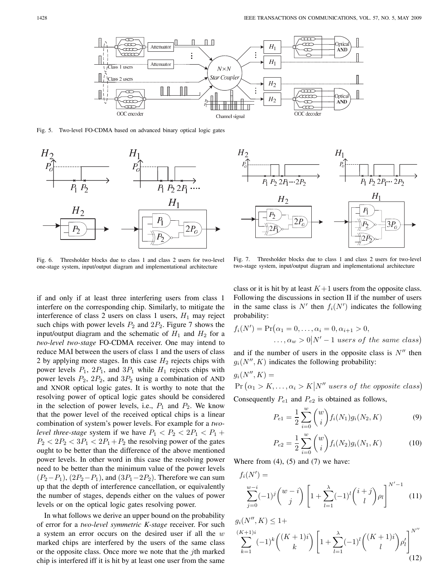

Fig. 5. Two-level FO-CDMA based on advanced binary optical logic gates



Fig. 6. Thresholder blocks due to class 1 and class 2 users for two-level one-stage system, input/output diagram and implementational architecture

if and only if at least three interfering users from class 1 interfere on the corresponding chip. Similarly, to mitigate the interference of class 2 users on class 1 users,  $H_1$  may reject such chips with power levels  $P_2$  and  $2P_2$ . Figure 7 shows the input/output diagram and the schematic of  $H_1$  and  $H_2$  for a *two-level two-stage* FO-CDMA receiver. One may intend to reduce MAI between the users of class 1 and the users of class 2 by applying more stages. In this case  $H_2$  rejects chips with power levels  $P_1$ ,  $2P_1$ , and  $3P_1$  while  $H_1$  rejects chips with power levels  $P_2$ ,  $2P_2$ , and  $3P_2$  using a combination of AND and XNOR optical logic gates. It is worthy to note that the resolving power of optical logic gates should be considered in the selection of power levels, i.e.,  $P_1$  and  $P_2$ . We know that the power level of the received optical chips is a linear combination of system's power levels. For example for a *twolevel three-stage* system if we have  $P_1 < P_2 < 2P_1 < P_1 +$  $P_2 < 2P_2 < 3P_1 < 2P_1 + P_2$  the resolving power of the gates ought to be better than the difference of the above mentioned power levels. In other word in this case the resolving power need to be better than the minimum value of the power levels  $(P_2-P_1)$ ,  $(2P_2-P_1)$ , and  $(3P_1-2P_2)$ . Therefore we can sum up that the depth of interference cancellation, or equivalently the number of stages, depends either on the values of power levels or on the optical logic gates resolving power.

In what follows we derive an upper bound on the probability of error for a *two-level symmetric K-stage* receiver. For such a system an error occurs on the desired user if all the  $w$ marked chips are interfered by the users of the same class or the opposite class. Once more we note that the *j*th marked chip is interfered iff it is hit by at least one user from the same



Fig. 7. Thresholder blocks due to class 1 and class 2 users for two-level two-stage system, input/output diagram and implementational architecture

class or it is hit by at least  $K+1$  users from the opposite class. Following the discussions in section II if the number of users in the same class is  $N'$  then  $f_i(N')$  indicates the following probability:

$$
f_i(N') = \Pr(\alpha_1 = 0, \dots, \alpha_i = 0, \alpha_{i+1} > 0, \dots, \alpha_w > 0 | N' - 1 \text{ users of the same class})
$$

and if the number of users in the opposite class is  $N''$  then  $g_i(N'', K)$  indicates the following probability:

$$
g_i(N'', K) =
$$
  
Pr  $(\alpha_1 > K, ..., \alpha_i > K | N''$  users of the opposite class)  
Censequartle R, and R, is obtained as follows.

Consequently 
$$
P_{e1}
$$
 and  $P_{e2}$  is obtained as follows,

$$
P_{e1} = \frac{1}{2} \sum_{i=0}^{w} {w \choose i} f_i(N_1) g_i(N_2, K)
$$
 (9)

$$
P_{e2} = \frac{1}{2} \sum_{i=0}^{w} {w \choose i} f_i(N_2) g_i(N_1, K)
$$
 (10)

Where from  $(4)$ ,  $(5)$  and  $(7)$  we have:

$$
f_i(N') = \sum_{j=0}^{w-i} (-1)^j {w-i \choose j} \left[ 1 + \sum_{l=1}^{\lambda} (-1)^l {i+j \choose l} \rho_l \right]^{N'-1}
$$
(11)

$$
g_i(N'', K) \le 1 +
$$
  
\n
$$
\sum_{k=1}^{(K+1)i} (-1)^k \binom{(K+1)i}{k} \left[ 1 + \sum_{l=1}^{\lambda} (-1)^l \binom{(K+1)i}{l} \rho'_l \right]^{N''}
$$
\n(12)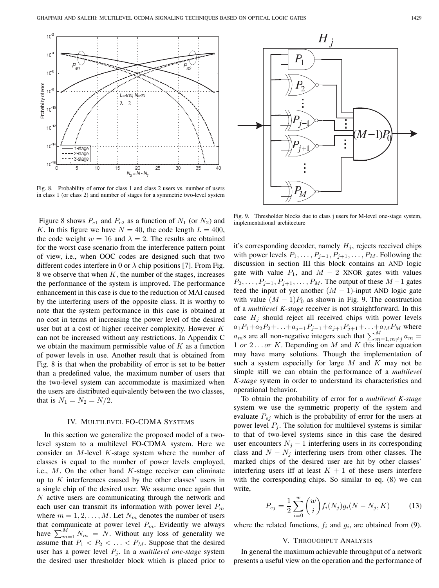

Fig. 8. Probability of error for class 1 and class 2 users vs. number of users in class 1 (or class 2) and number of stages for a symmetric two-level system

Figure 8 shows  $P_{e1}$  and  $P_{e2}$  as a function of  $N_1$  (or  $N_2$ ) and K. In this figure we have  $N = 40$ , the code length  $L = 400$ , the code weight  $w = 16$  and  $\lambda = 2$ . The results are obtained for the worst case scenario from the interference pattern point of view, i.e., when OOC codes are designed such that two different codes interfere in 0 or  $\lambda$  chip positions [7]. From Fig. 8 we observe that when  $K$ , the number of the stages, increases the performance of the system is improved. The performance enhancement in this case is due to the reduction of MAI caused by the interfering users of the opposite class. It is worthy to note that the system performance in this case is obtained at no cost in terms of increasing the power level of the desired user but at a cost of higher receiver complexity. However  $K$ can not be increased without any restrictions. In Appendix C we obtain the maximum permissible value of  $K$  as a function of power levels in use. Another result that is obtained from Fig. 8 is that when the probability of error is set to be better than a predefined value, the maximum number of users that the two-level system can accommodate is maximized when the users are distributed equivalently between the two classes, that is  $N_1 = N_2 = N/2$ .

# IV. MULTILEVEL FO-CDMA SYSTEMS

In this section we generalize the proposed model of a twolevel system to a multilevel FO-CDMA system. Here we consider an M-level K-stage system where the number of classes is equal to the number of power levels employed, i.e.,  $M$ . On the other hand  $K$ -stage receiver can eliminate up to  $K$  interferences caused by the other classes' users in a single chip of the desired user. We assume once again that N active users are communicating through the network and each user can transmit its information with power level  $P_m$ where  $m = 1, 2, \ldots, M$ . Let  $N_m$  denotes the number of users that communicate at power level  $P_m$ . Evidently we always have  $\sum_{m=1}^{M} N_m = N$ . Without any loss of generality we assume that  $P_1 < P_2 < \ldots < P_M$ . Suppose that the desired user has a power level  $P_i$ . In a *multilevel one-stage* system the desired user thresholder block which is placed prior to



Fig. 9. Thresholder blocks due to class j users for M-level one-stage system, implementational architecture

it's corresponding decoder, namely  $H_i$ , rejects received chips with power levels  $P_1, \ldots, P_{j-1}, P_{j+1}, \ldots, P_M$ . Following the discussion in section III this block contains an AND logic gate with value  $P_1$ , and  $M - 2$  XNOR gates with values  $P_2, \ldots, P_{j-1}, P_{j+1}, \ldots, P_M$ . The output of these  $M-1$  gates feed the input of yet another  $(M - 1)$ -input AND logic gate with value  $(M - 1)P_0$  as shown in Fig. 9. The construction of a *multilevel K-stage* receiver is not straightforward. In this case  $H_j$  should reject all received chips with power levels  $a_1P_1+a_2P_2+\ldots+a_{j-1}P_{j-1}+a_{j+1}P_{j+1}+\ldots+a_{M}P_{M}$  where  $a_m$ s are all non-negative integers such that  $\sum_{m=1,m\neq j}^{M} a_m =$  $1$  or  $2...$  or  $K$ . Depending on  $M$  and  $K$  this linear equation may have many solutions. Though the implementation of such a system especially for large  $M$  and  $K$  may not be simple still we can obtain the performance of a *multilevel K-stage* system in order to understand its characteristics and operational behavior.

To obtain the probability of error for a *multilevel K-stage* system we use the symmetric property of the system and evaluate  $P_{ei}$  which is the probability of error for the users at power level  $P_i$ . The solution for multilevel systems is similar to that of two-level systems since in this case the desired user encounters  $N_j - 1$  interfering users in its corresponding class and  $N - N_j$  interfering users from other classes. The marked chips of the desired user are hit by other classes' interfering users iff at least  $K + 1$  of these users interfere with the corresponding chips. So similar to eq. (8) we can write,

$$
P_{ej} = \frac{1}{2} \sum_{i=0}^{w} {w \choose i} f_i(N_j) g_i(N - N_j, K)
$$
 (13)

where the related functions,  $f_i$  and  $g_i$ , are obtained from (9).

## V. THROUGHPUT ANALYSIS

In general the maximum achievable throughput of a network presents a useful view on the operation and the performance of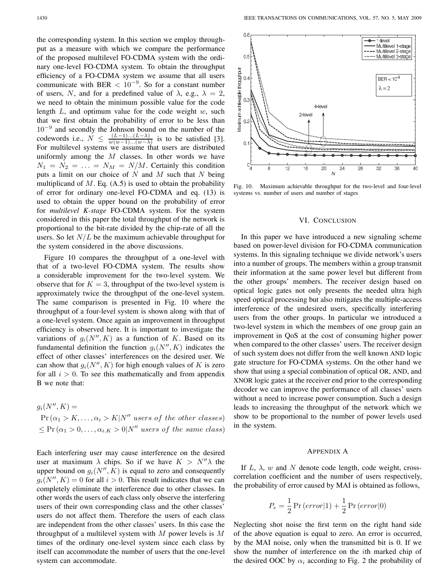the corresponding system. In this section we employ throughput as a measure with which we compare the performance of the proposed multilevel FO-CDMA system with the ordinary one-level FO-CDMA system. To obtain the throughput efficiency of a FO-CDMA system we assume that all users communicate with BER  $< 10^{-9}$ . So for a constant number of users, N, and for a predefined value of  $\lambda$ , e.g.,  $\lambda = 2$ , we need to obtain the minimum possible value for the code length  $L$ , and optimum value for the code weight  $w$ , such that we first obtain the probability of error to be less than  $10^{-9}$  and secondly the Johnson bound on the number of the codewords i.e.,  $N \leq \frac{(L-1)...(L-\lambda)}{w(w-1)...(w-\lambda)}$  is to be satisfied [3]. For multilevel systems we assume that users are distributed uniformly among the  $M$  classes. In other words we have  $N_1 = N_2 = \ldots = N_M = N/M$ . Certainly this condition puts a limit on our choice of  $N$  and  $M$  such that  $N$  being multiplicand of  $M$ . Eq. (A.5) is used to obtain the probability of error for ordinary one-level FO-CDMA and eq. (13) is used to obtain the upper bound on the probability of error for *multilevel K-stage* FO-CDMA system. For the system considered in this paper the total throughput of the network is proportional to the bit-rate divided by the chip-rate of all the users. So let  $N/L$  be the maximum achievable throughput for the system considered in the above discussions.

Figure 10 compares the throughput of a one-level with that of a two-level FO-CDMA system. The results show a considerable improvement for the two-level system. We observe that for  $K = 3$ , throughput of the two-level system is approximately twice the throughput of the one-level system. The same comparison is presented in Fig. 10 where the throughput of a four-level system is shown along with that of a one-level system. Once again an improvement in throughput efficiency is observed here. It is important to investigate the variations of  $g_i(N'', K)$  as a function of K. Based on its fundamental definition the function  $g_i(N'', K)$  indicates the effect of other classes' interferences on the desired user. We can show that  $g_i(N'', K)$  for high enough values of K is zero for all  $i > 0$ . To see this mathematically and from appendix B we note that:

$$
g_i(N'', K) =
$$
  
Pr( $\alpha_1 > K, ..., \alpha_i > K|N''$  users of the other classes)  
 $\leq$ Pr( $\alpha_1 > 0, ..., \alpha_{i,K} > 0|N''$  users of the same class)

Each interfering user may cause interference on the desired user at maximum  $\lambda$  chips. So if we have  $K > N''\lambda$  the upper bound on  $g_i(N'', K)$  is equal to zero and consequently  $g_i(N'', K) = 0$  for all  $i > 0$ . This result indicates that we can completely eliminate the interference due to other classes. In other words the users of each class only observe the interfering users of their own corresponding class and the other classes' users do not affect them. Therefore the users of each class are independent from the other classes' users. In this case the throughput of a multilevel system with  $M$  power levels is  $M$ times of the ordinary one-level system since each class by itself can accommodate the number of users that the one-level system can accommodate.



Fig. 10. Maximum achievable throughput for the two-level and four-level systems vs. number of users and number of stages

#### VI. CONCLUSION

In this paper we have introduced a new signaling scheme based on power-level division for FO-CDMA communication systems. In this signaling technique we divide network's users into a number of groups. The members within a group transmit their information at the same power level but different from the other groups' members. The receiver design based on optical logic gates not only presents the needed ultra high speed optical processing but also mitigates the multiple-access interference of the undesired users, specifically interfering users from the other groups. In particular we introduced a two-level system in which the members of one group gain an improvement in QoS at the cost of consuming higher power when compared to the other classes' users. The receiver design of such system does not differ from the well known AND logic gate structure for FO-CDMA systems. On the other hand we show that using a special combination of optical OR, AND, and XNOR logic gates at the receiver end prior to the corresponding decoder we can improve the performance of all classes' users without a need to increase power consumption. Such a design leads to increasing the throughput of the network which we show to be proportional to the number of power levels used in the system.

## APPENDIX A

If  $L$ ,  $\lambda$ ,  $w$  and  $N$  denote code length, code weight, crosscorrelation coefficient and the number of users respectively, the probability of error caused by MAI is obtained as follows,

$$
P_e = \frac{1}{2} \Pr\left( error|1\right) + \frac{1}{2} \Pr\left( error|0\right)
$$

Neglecting shot noise the first term on the right hand side of the above equation is equal to zero. An error is occurred, by the MAI noise, only when the transmitted bit is 0. If we show the number of interference on the ith marked chip of the desired OOC by  $\alpha_i$  according to Fig. 2 the probability of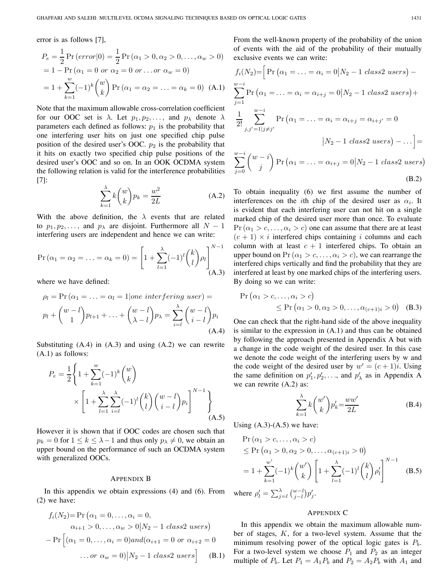error is as follows [7],

$$
P_e = \frac{1}{2} \Pr\left(\text{error}|0\right) = \frac{1}{2} \Pr\left(\alpha_1 > 0, \alpha_2 > 0, \dots, \alpha_w > 0\right)
$$
  
= 1 - \Pr\left(\alpha\_1 = 0 \text{ or } \alpha\_2 = 0 \text{ or } \dots \text{ or } \alpha\_w = 0\right)  
= 1 + \sum\_{k=1}^{w} (-1)^k {w \choose k} \Pr\left(\alpha\_1 = \alpha\_2 = \dots = \alpha\_k = 0\right) (A.1)

Note that the maximum allowable cross-correlation coefficient for our OOC set is  $\lambda$ . Let  $p_1, p_2, \ldots$ , and  $p_\lambda$  denote  $\lambda$ parameters each defined as follows:  $p_1$  is the probability that one interfering user hits on just one specified chip pulse position of the desired user's OOC.  $p_2$  is the probability that it hits on exactly two specified chip pulse positions of the desired user's OOC and so on. In an OOK OCDMA system the following relation is valid for the interference probabilities [7]:

$$
\sum_{k=1}^{\lambda} k \binom{w}{k} p_k = \frac{w^2}{2L} \tag{A.2}
$$

With the above definition, the  $\lambda$  events that are related to  $p_1, p_2, \ldots$ , and  $p_\lambda$  are disjoint. Furthermore all  $N - 1$ interfering users are independent and hence we can write:

$$
\Pr(\alpha_1 = \alpha_2 = \ldots = \alpha_k = 0) = \left[1 + \sum_{l=1}^{\lambda} (-1)^l {k \choose l} \rho_l \right]_{(A.3)}^{N-1}
$$

where we have defined:

$$
\rho_l = \Pr(\alpha_1 = \dots = \alpha_l = 1 | one \text{ interfering user}) =
$$
  
\n
$$
p_l + \binom{w - l}{1} p_{l+1} + \dots + \binom{w - l}{\lambda - l} p_{\lambda} = \sum_{i=l}^{\lambda} \binom{w - l}{i - l} p_i
$$
  
\n(A.4)

Substituting  $(A.4)$  in  $(A.3)$  and using  $(A.2)$  we can rewrite (A.1) as follows:

$$
P_e = \frac{1}{2} \left\{ 1 + \sum_{k=1}^{w} (-1)^k {w \choose k} \right\}
$$

$$
\times \left[ 1 + \sum_{l=1}^{N} \sum_{i=l}^{N} (-1)^l {k \choose l} {w-l \choose i-l} p_i \right]^{N-1} \right\}
$$
(A.5)

However it is shown that if OOC codes are chosen such that  $p_k = 0$  for  $1 \le k \le \lambda - 1$  and thus only  $p_\lambda \ne 0$ , we obtain an upper bound on the performance of such an OCDMA system with generalized OOCs.

# APPENDIX B

In this appendix we obtain expressions (4) and (6). From (2) we have:

$$
f_i(N_2) = \Pr(\alpha_1 = 0, \dots, \alpha_i = 0, \n\alpha_{i+1} > 0, \dots, \alpha_w > 0 | N_2 - 1 \text{ class 2 users})
$$
\n
$$
-\Pr[(\alpha_1 = 0, \dots, \alpha_i = 0) \text{ and } (\alpha_{i+1} = 0 \text{ or } \alpha_{i+2} = 0 \n\dots \text{ or } \alpha_w = 0) | N_2 - 1 \text{ class 2 users} ] \quad (B.1)
$$

From the well-known property of the probability of the union of events with the aid of the probability of their mutually exclusive events we can write:

$$
f_i(N_2) = \left[ \Pr\left(\alpha_1 = \ldots = \alpha_i = 0 \middle| N_2 - 1 \text{ class 2 users}\right) - \sum_{j=1}^{w-i} \Pr\left(\alpha_1 = \ldots = \alpha_i = \alpha_{i+j} = 0 \middle| N_2 - 1 \text{ class 2 users}\right) + \frac{1}{2!} \sum_{j,j'=1 \middle| j \neq j'}^{w-i} \Pr\left(\alpha_1 = \ldots = \alpha_i = \alpha_{i+j} = \alpha_{i+j'} = 0 \middle| N_2 - 1 \text{ class 2 users}\right) - \ldots \right] = \sum_{j=0}^{w-i} {w-i \choose j} \Pr\left(\alpha_1 = \ldots = \alpha_{i+j} = 0 \middle| N_2 - 1 \text{ class 2 users}\right)
$$
\n(B.2)

To obtain inequality (6) we first assume the number of interferences on the *i*th chip of the desired user as  $\alpha_i$ . It is evident that each interfering user can not hit on a single marked chip of the desired user more than once. To evaluate  $Pr(\alpha_1 > c, \ldots, \alpha_i > c)$  one can assume that there are at least  $(c + 1) \times i$  interfered chips containing i columns and each column with at least  $c + 1$  interfered chips. To obtain an upper bound on  $Pr(\alpha_1 > c, \dots, \alpha_i > c)$ , we can rearrange the interfered chips vertically and find the probability that they are interfered at least by one marked chips of the interfering users. By doing so we can write:

$$
\Pr\left(\alpha_1 > c, \dots, \alpha_i > c\right) \le \Pr\left(\alpha_1 > 0, \alpha_2 > 0, \dots, \alpha_{(c+1)i} > 0\right) \quad (B.3)
$$

One can check that the right-hand side of the above inequality is similar to the expression in (A.1) and thus can be obtained by following the approach presented in Appendix A but with a change in the code weight of the desired user. In this case we denote the code weight of the interfering users by w and the code weight of the desired user by  $w' = (c+1)i$ . Using the same definition on  $p'_1, p'_2, \ldots$ , and  $p'_\lambda$  as in Appendix A we can rewrite (A.2) as:

$$
\sum_{k=1}^{\lambda} k \binom{w'}{k} p'_k = \frac{ww'}{2L} \tag{B.4}
$$

Using  $(A.3)-(A.5)$  we have:

$$
\Pr(\alpha_1 > c, ..., \alpha_i > c) \n\leq \Pr(\alpha_1 > 0, \alpha_2 > 0, ..., \alpha_{(c+1)i} > 0) \n= 1 + \sum_{k=1}^{w'} (-1)^k {w' \choose k} \left[ 1 + \sum_{l=1}^{\lambda} (-1)^l {k \choose l} \rho'_l \right]^{N-1}
$$
\n(B.5)

where  $\rho'_l = \sum_{j=l}^{\lambda} \binom{w-l}{j-l} p'_j$ .

## APPENDIX C

In this appendix we obtain the maximum allowable number of stages, K, for a two-level system. Assume that the minimum resolving power of the optical logic gates is  $P<sub>b</sub>$ . For a two-level system we choose  $P_1$  and  $P_2$  as an integer multiple of  $P_b$ . Let  $P_1 = A_1 P_b$  and  $P_2 = A_2 P_b$  with  $A_1$  and